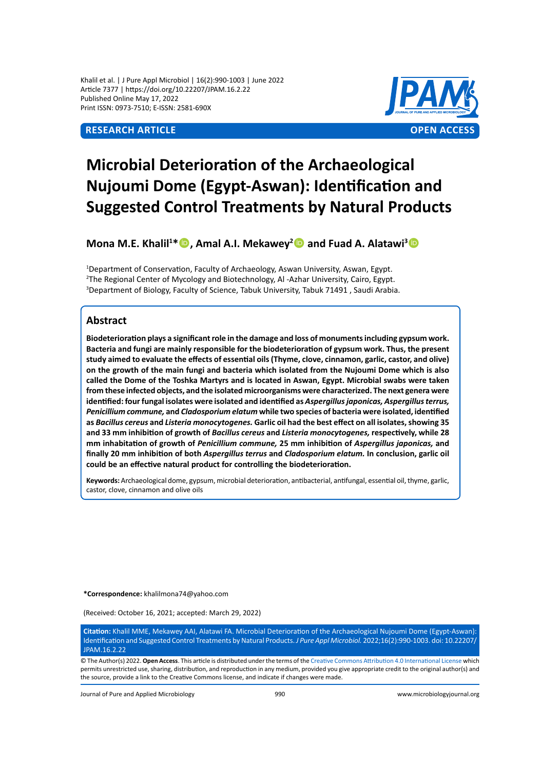Khalil et al. | J Pure Appl Microbiol | 16(2):990-1003 | June 2022 Article 7377 | https://doi.org/10.22207/JPAM.16.2.22 Published Online May 17, 2022 Print ISSN: 0973-7510; E-ISSN: 2581-690X



# **Microbial Deterioration of the Archaeological Nujoumi Dome (Egypt-Aswan): Identification and Suggested Control Treatments by Natural Products**

**Mona M.E. Khalil<sup>1</sup> \*, Amal A.I. Mekawey<sup>2</sup> and Fuad A. Alatawi<sup>3</sup>**

<sup>1</sup>Department of Conservation, Faculty of Archaeology, Aswan University, Aswan, Egypt. 2 The Regional Center of Mycology and Biotechnology, Al -Azhar University, Cairo, Egypt. 3 Department of Biology, Faculty of Science, Tabuk University, Tabuk 71491 , Saudi Arabia.

# **Abstract**

**Biodeterioration plays a significant role in the damage and loss of monuments including gypsum work. Bacteria and fungi are mainly responsible for the biodeterioration of gypsum work. Thus, the present study aimed to evaluate the effects of essential oils (Thyme, clove, cinnamon, garlic, castor, and olive) on the growth of the main fungi and bacteria which isolated from the Nujoumi Dome which is also called the Dome of the Toshka Martyrs and is located in Aswan, Egypt. Microbial swabs were taken from these infected objects, and the isolated microorganisms were characterized. The next genera were identified: four fungal isolates were isolated and identified as** *Aspergillus japonicas, Aspergillus terrus, Penicillium commune,* **and** *Cladosporium elatum* **while two species of bacteria were isolated, identified as** *Bacillus cereus* **and** *Listeria monocytogenes.* **Garlic oil had the best effect on all isolates, showing 35 and 33 mm inhibition of growth of** *Bacillus cereus* **and** *Listeria monocytogenes,* **respectively, while 28 mm inhabitation of growth of** *Penicillium commune,* **25 mm inhibition of** *Aspergillus japonicas,* **and finally 20 mm inhibition of both** *Aspergillus terrus* **and** *Cladosporium elatum.* **In conclusion, garlic oil could be an effective natural product for controlling the biodeterioration.** 

**Keywords:** Archaeological dome, gypsum, microbial deterioration, antibacterial, antifungal, essential oil, thyme, garlic, castor, clove, cinnamon and olive oils

**\*Correspondence:** khalilmona74@yahoo.com

(Received: October 16, 2021; accepted: March 29, 2022)

**Citation:** Khalil MME, Mekawey AAI, Alatawi FA. Microbial Deterioration of the Archaeological Nujoumi Dome (Egypt-Aswan): Identification and Suggested Control Treatments by Natural Products. *J Pure Appl Microbiol.* 2022;16(2):990-1003. doi: 10.22207/ JPAM.16.2.22

© The Author(s) 2022. **Open Access**. This article is distributed under the terms of the [Creative Commons Attribution 4.0 International License](https://creativecommons.org/licenses/by/4.0/) which permits unrestricted use, sharing, distribution, and reproduction in any medium, provided you give appropriate credit to the original author(s) and the source, provide a link to the Creative Commons license, and indicate if changes were made.

Journal of Pure and Applied Microbiology 990 www.microbiologyjournal.org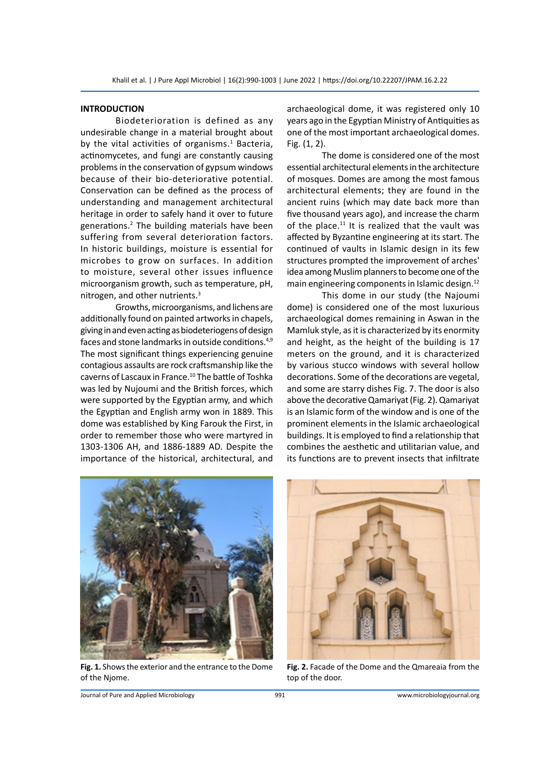#### **INTRODUCTION**

Biodeterioration is defined as any undesirable change in a material brought about by the vital activities of organisms.<sup>1</sup> Bacteria, actinomycetes, and fungi are constantly causing problems in the conservation of gypsum windows because of their bio-deteriorative potential. Conservation can be defined as the process of understanding and management architectural heritage in order to safely hand it over to future generations.<sup>2</sup> The building materials have been suffering from several deterioration factors. In historic buildings, moisture is essential for microbes to grow on surfaces. In addition to moisture, several other issues influence microorganism growth, such as temperature, pH, nitrogen, and other nutrients.3

Growths, microorganisms, and lichens are additionally found on painted artworks in chapels, giving in and even acting as biodeteriogens of design faces and stone landmarks in outside conditions.<sup>4,9</sup> The most significant things experiencing genuine contagious assaults are rock craftsmanship like the caverns of Lascaux in France.<sup>10</sup> The battle of Toshka was led by Nujoumi and the British forces, which were supported by the Egyptian army, and which the Egyptian and English army won in 1889. This dome was established by King Farouk the First, in order to remember those who were martyred in 1303-1306 AH, and 1886-1889 AD. Despite the importance of the historical, architectural, and archaeological dome, it was registered only 10 years ago in the Egyptian Ministry of Antiquities as one of the most important archaeological domes. Fig. (1, 2).

The dome is considered one of the most essential architectural elements in the architecture of mosques. Domes are among the most famous architectural elements; they are found in the ancient ruins (which may date back more than five thousand years ago), and increase the charm of the place. $11$  It is realized that the vault was affected by Byzantine engineering at its start. The continued of vaults in Islamic design in its few structures prompted the improvement of arches' idea among Muslim planners to become one of the main engineering components in Islamic design.<sup>12</sup>

This dome in our study (the Najoumi dome) is considered one of the most luxurious archaeological domes remaining in Aswan in the Mamluk style, as it is characterized by its enormity and height, as the height of the building is 17 meters on the ground, and it is characterized by various stucco windows with several hollow decorations. Some of the decorations are vegetal, and some are starry dishes Fig. 7. The door is also above the decorative Qamariyat (Fig. 2). Qamariyat is an Islamic form of the window and is one of the prominent elements in the Islamic archaeological buildings. It is employed to find a relationship that combines the aesthetic and utilitarian value, and its functions are to prevent insects that infiltrate



**Fig. 1.** Shows the exterior and the entrance to the Dome of the Njome.



**Fig. 2.** Facade of the Dome and the Qmareaia from the top of the door.

Journal of Pure and Applied Microbiology 991 www.microbiologyjournal.org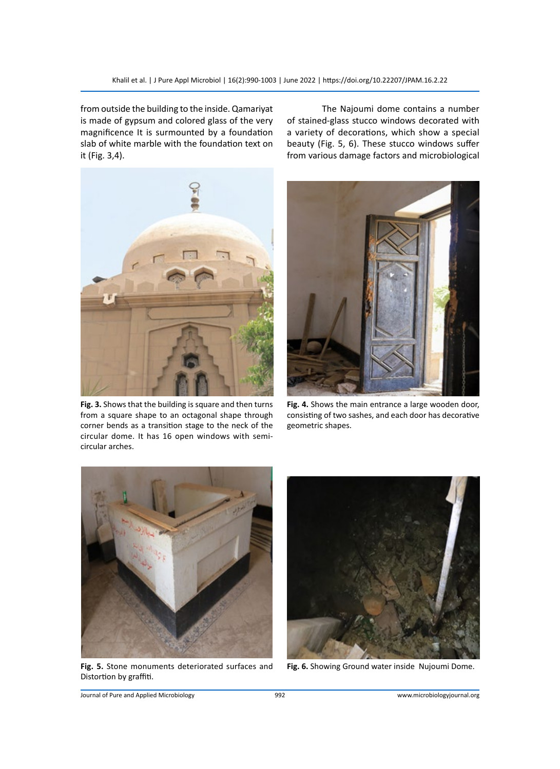from outside the building to the inside. Qamariyat is made of gypsum and colored glass of the very magnificence It is surmounted by a foundation slab of white marble with the foundation text on it (Fig. 3,4).

The Najoumi dome contains a number of stained-glass stucco windows decorated with a variety of decorations, which show a special beauty (Fig. 5, 6). These stucco windows suffer from various damage factors and microbiological



**Fig. 3.** Shows that the building is square and then turns from a square shape to an octagonal shape through corner bends as a transition stage to the neck of the circular dome. It has 16 open windows with semicircular arches.



**Fig. 4.** Shows the main entrance a large wooden door, consisting of two sashes, and each door has decorative geometric shapes.



**Fig. 5.** Stone monuments deteriorated surfaces and Distortion by graffiti.



**Fig. 6.** Showing Ground water inside Nujoumi Dome.

Journal of Pure and Applied Microbiology 992 www.microbiologyjournal.org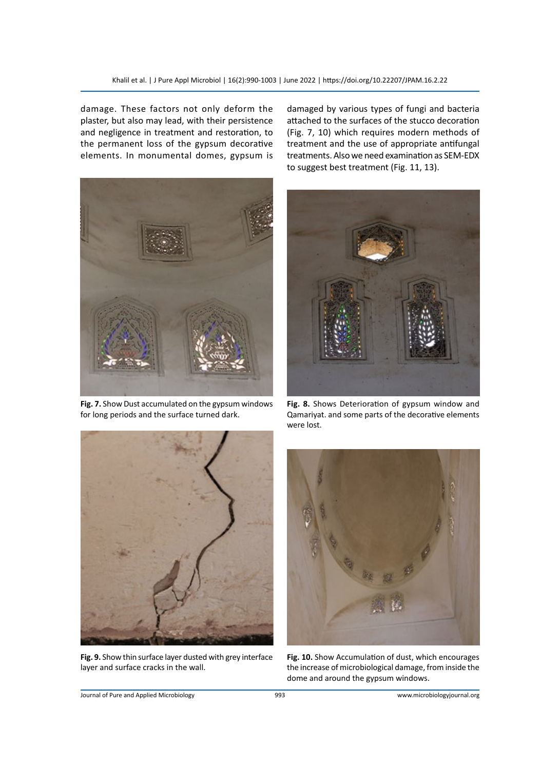damage. These factors not only deform the plaster, but also may lead, with their persistence and negligence in treatment and restoration, to the permanent loss of the gypsum decorative elements. In monumental domes, gypsum is



**Fig. 7.** Show Dust accumulated on the gypsum windows for long periods and the surface turned dark.

damaged by various types of fungi and bacteria attached to the surfaces of the stucco decoration (Fig. 7, 10) which requires modern methods of treatment and the use of appropriate antifungal treatments. Also we need examination as SEM-EDX to suggest best treatment (Fig. 11, 13).



**Fig. 8.** Shows Deterioration of gypsum window and Qamariyat. and some parts of the decorative elements were lost.



**Fig. 9.** Show thin surface layer dusted with grey interface layer and surface cracks in the wall.



**Fig. 10.** Show Accumulation of dust, which encourages the increase of microbiological damage, from inside the dome and around the gypsum windows.

Journal of Pure and Applied Microbiology 993 www.microbiologyjournal.org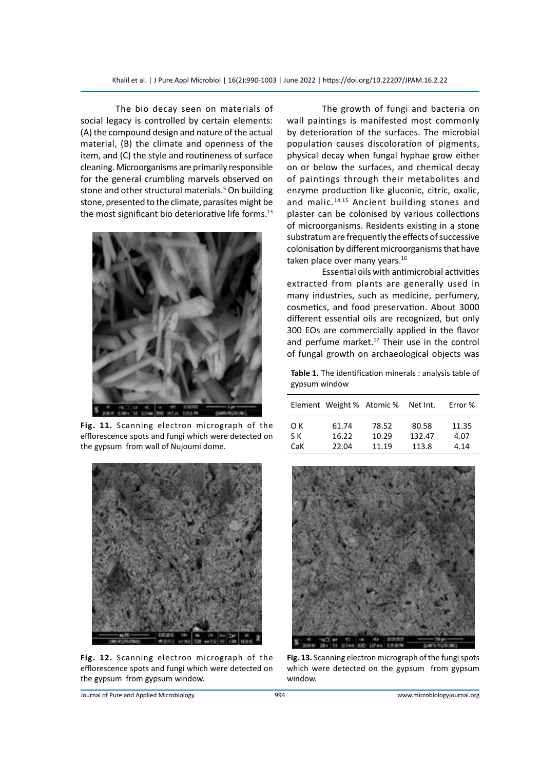The bio decay seen on materials of social legacy is controlled by certain elements: (A) the compound design and nature of the actual material, (B) the climate and openness of the item, and (C) the style and routineness of surface cleaning. Microorganisms are primarily responsible for the general crumbling marvels observed on stone and other structural materials.<sup>5</sup> On building stone, presented to the climate, parasites might be the most significant bio deteriorative life forms.<sup>13</sup>



**Fig. 11.** Scanning electron micrograph of the efflorescence spots and fungi which were detected on the gypsum from wall of Nujoumi dome.



**Fig. 12.** Scanning electron micrograph of the efflorescence spots and fungi which were detected on the gypsum from gypsum window.

The growth of fungi and bacteria on wall paintings is manifested most commonly by deterioration of the surfaces. The microbial population causes discoloration of pigments, physical decay when fungal hyphae grow either on or below the surfaces, and chemical decay of paintings through their metabolites and enzyme production like gluconic, citric, oxalic, and malic.<sup>14,15</sup> Ancient building stones and plaster can be colonised by various collections of microorganisms. Residents existing in a stone substratum are frequently the effects of successive colonisation by different microorganisms that have taken place over many years.<sup>16</sup>

Essential oils with antimicrobial activities extracted from plants are generally used in many industries, such as medicine, perfumery, cosmetics, and food preservation. About 3000 different essential oils are recognized, but only 300 EOs are commercially applied in the flavor and perfume market.<sup>17</sup> Their use in the control of fungal growth on archaeological objects was

**Table 1.** The identification minerals : analysis table of gypsum window

|     | Element Weight % Atomic % |       | Net Int. | Error % |
|-----|---------------------------|-------|----------|---------|
| O K | 61.74                     | 78.52 | 80.58    | 11.35   |
| S K | 16.22                     | 10.29 | 132.47   | 4.07    |
| CaK | 22.04                     | 11.19 | 113.8    | 4.14    |



**Fig. 13.** Scanning electron micrograph of the fungi spots which were detected on the gypsum from gypsum window.

Journal of Pure and Applied Microbiology 994 www.microbiologyjournal.org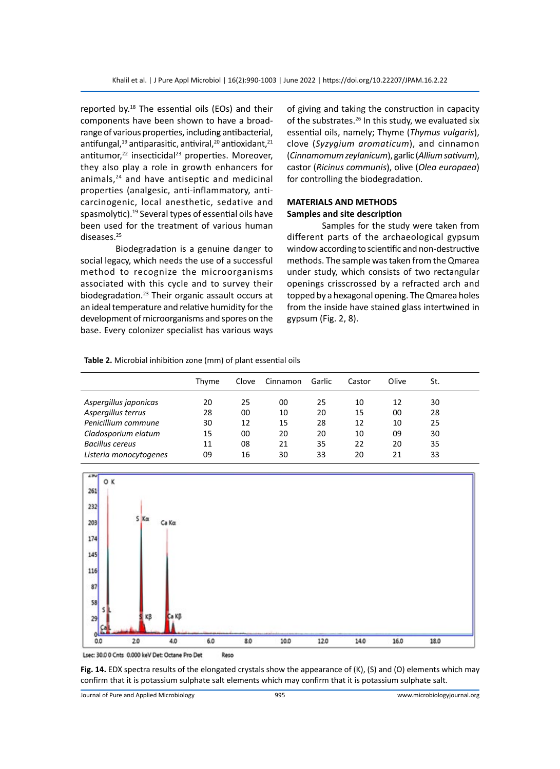reported by. $18$  The essential oils (EOs) and their components have been shown to have a broadrange of various properties, including antibacterial, antifungal, $^{19}$  antiparasitic, antiviral, $^{20}$  antioxidant, $^{21}$ antitumor,<sup>22</sup> insecticidal<sup>23</sup> properties. Moreover, they also play a role in growth enhancers for animals,<sup>24</sup> and have antiseptic and medicinal properties (analgesic, anti-inflammatory, anticarcinogenic, local anesthetic, sedative and spasmolytic).<sup>19</sup> Several types of essential oils have been used for the treatment of various human diseases.25

Biodegradation is a genuine danger to social legacy, which needs the use of a successful method to recognize the microorganisms associated with this cycle and to survey their biodegradation.23 Their organic assault occurs at an ideal temperature and relative humidity for the development of microorganisms and spores on the base. Every colonizer specialist has various ways of giving and taking the construction in capacity of the substrates.<sup>26</sup> In this study, we evaluated six essential oils, namely; Thyme (*Thymus vulgaris*), clove (*Syzygium aromaticum*), and cinnamon (*Cinnamomum zeylanicum*), garlic (*Allium sativum*), castor (*Ricinus communis*), olive (*Olea europaea*) for controlling the biodegradation.

#### **MATERIALS AND METHODS Samples and site description**

Samples for the study were taken from different parts of the archaeological gypsum window according to scientific and non-destructive methods. The sample was taken from the Qmarea under study, which consists of two rectangular openings crisscrossed by a refracted arch and topped by a hexagonal opening. The Qmarea holes from the inside have stained glass intertwined in gypsum (Fig. 2, 8).

**Table 2.** Microbial inhibition zone (mm) of plant essential oils

|                        | Thvme | Clove | Cinnamon | Garlic | Castor | Olive | St. |  |
|------------------------|-------|-------|----------|--------|--------|-------|-----|--|
| Aspergillus japonicas  | 20    | 25    | 00       | 25     | 10     | 12    | 30  |  |
| Aspergillus terrus     | 28    | 00    | 10       | 20     | 15     | 00    | 28  |  |
| Penicillium commune    | 30    | 12    | 15       | 28     | 12     | 10    | 25  |  |
| Cladosporium elatum    | 15    | 00    | 20       | 20     | 10     | 09    | 30  |  |
| Bacillus cereus        | 11    | 08    | 21       | 35     | 22     | 20    | 35  |  |
| Listeria monocytogenes | 09    | 16    | 30       | 33     | 20     | 21    | 33  |  |



Lsec: 30.0 0 Cnts 0.000 keV Det: Octane Pro Det Reso

**Fig. 14.** EDX spectra results of the elongated crystals show the appearance of (K), (S) and (O) elements which may confirm that it is potassium sulphate salt elements which may confirm that it is potassium sulphate salt.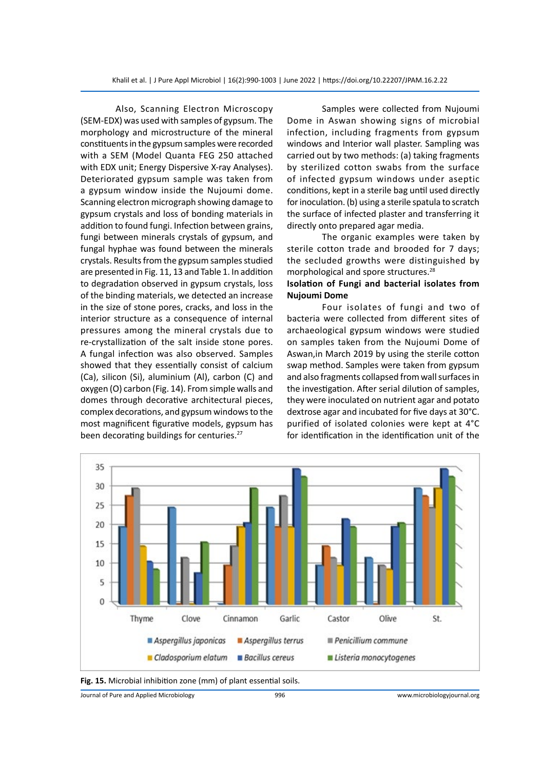Also, Scanning Electron Microscopy (SEM-EDX) was used with samples of gypsum. The morphology and microstructure of the mineral constituents in the gypsum samples were recorded with a SEM (Model Quanta FEG 250 attached with EDX unit; Energy Dispersive X-ray Analyses). Deteriorated gypsum sample was taken from a gypsum window inside the Nujoumi dome. Scanning electron micrograph showing damage to gypsum crystals and loss of bonding materials in addition to found fungi. Infection between grains, fungi between minerals crystals of gypsum, and fungal hyphae was found between the minerals crystals. Results from the gypsum samples studied are presented in Fig. 11, 13 and Table 1. In addition to degradation observed in gypsum crystals, loss of the binding materials, we detected an increase in the size of stone pores, cracks, and loss in the interior structure as a consequence of internal pressures among the mineral crystals due to re-crystallization of the salt inside stone pores. A fungal infection was also observed. Samples showed that they essentially consist of calcium (Ca), silicon (Si), aluminium (Al), carbon (C) and oxygen (O) carbon (Fig. 14). From simple walls and domes through decorative architectural pieces, complex decorations, and gypsum windows to the most magnificent figurative models, gypsum has been decorating buildings for centuries.<sup>27</sup>

Samples were collected from Nujoumi Dome in Aswan showing signs of microbial infection, including fragments from gypsum windows and Interior wall plaster. Sampling was carried out by two methods: (a) taking fragments by sterilized cotton swabs from the surface of infected gypsum windows under aseptic conditions, kept in a sterile bag until used directly for inoculation. (b) using a sterile spatula to scratch the surface of infected plaster and transferring it directly onto prepared agar media.

The organic examples were taken by sterile cotton trade and brooded for 7 days; the secluded growths were distinguished by morphological and spore structures.28

#### **Isolation of Fungi and bacterial isolates from Nujoumi Dome**

Four isolates of fungi and two of bacteria were collected from different sites of archaeological gypsum windows were studied on samples taken from the Nujoumi Dome of Aswan,in March 2019 by using the sterile cotton swap method. Samples were taken from gypsum and also fragments collapsed from wall surfaces in the investigation. After serial dilution of samples, they were inoculated on nutrient agar and potato dextrose agar and incubated for five days at 30°C. purified of isolated colonies were kept at 4°C for identification in the identification unit of the





Journal of Pure and Applied Microbiology 996 www.microbiologyjournal.org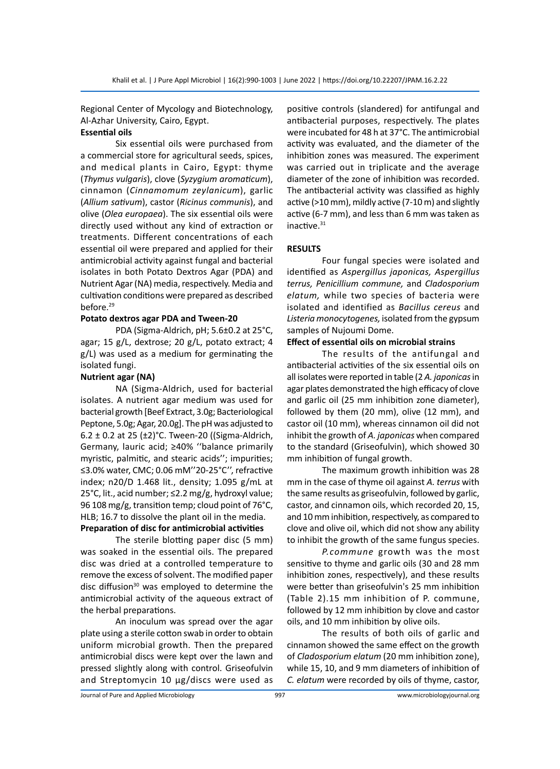Regional Center of Mycology and Biotechnology, Al-Azhar University, Cairo, Egypt.

#### **Essential oils**

Six essential oils were purchased from a commercial store for agricultural seeds, spices, and medical plants in Cairo, Egypt: thyme (*Thymus vulgaris*), clove (*Syzygium aromaticum*), cinnamon (*Cinnamomum zeylanicum*), garlic (*Allium sativum*), castor (*Ricinus communis*), and olive (*Olea europaea*). The six essential oils were directly used without any kind of extraction or treatments. Different concentrations of each essential oil were prepared and applied for their antimicrobial activity against fungal and bacterial isolates in both Potato Dextros Agar (PDA) and Nutrient Agar (NA) media, respectively. Media and cultivation conditions were prepared as described before.<sup>29</sup>

#### **Potato dextros agar PDA and Tween-20**

PDA (Sigma-Aldrich, pH; 5.6±0.2 at 25°C, agar; 15 g/L, dextrose; 20 g/L, potato extract; 4 g/L) was used as a medium for germinating the isolated fungi.

### **Nutrient agar (NA)**

NA (Sigma-Aldrich, used for bacterial isolates. A nutrient agar medium was used for bacterial growth [Beef Extract, 3.0g; Bacteriological Peptone, 5.0g; Agar, 20.0g]. The pH was adjusted to 6.2  $\pm$  0.2 at 25 ( $\pm$ 2)°C. Tween-20 ((Sigma-Aldrich, Germany, lauric acid; ≥40% ''balance primarily myristic, palmitic, and stearic acids''; impurities; ≤3.0% water, CMC; 0.06 mM''20-25°C'', refractive index; n20/D 1.468 lit., density; 1.095 g/mL at 25°C, lit., acid number; ≤2.2 mg/g, hydroxyl value; 96 108 mg/g, transition temp; cloud point of 76°C, HLB; 16.7 to dissolve the plant oil in the media.

# **Preparation of disc for antimicrobial activities**

The sterile blotting paper disc (5 mm) was soaked in the essential oils. The prepared disc was dried at a controlled temperature to remove the excess of solvent. The modified paper disc diffusion<sup>30</sup> was employed to determine the antimicrobial activity of the aqueous extract of the herbal preparations.

An inoculum was spread over the agar plate using a sterile cotton swab in order to obtain uniform microbial growth. Then the prepared antimicrobial discs were kept over the lawn and pressed slightly along with control. Griseofulvin and Streptomycin 10 μg/discs were used as positive controls (slandered) for antifungal and antibacterial purposes, respectively. The plates were incubated for 48 h at 37°C. The antimicrobial activity was evaluated, and the diameter of the inhibition zones was measured. The experiment was carried out in triplicate and the average diameter of the zone of inhibition was recorded. The antibacterial activity was classified as highly active (>10 mm), mildly active (7-10 m) and slightly active (6-7 mm), and less than 6 mm was taken as inactive.<sup>31</sup>

## **RESULTS**

Four fungal species were isolated and identified as *Aspergillus japonicas, Aspergillus terrus, Penicillium commune,* and *Cladosporium elatum,* while two species of bacteria were isolated and identified as *Bacillus cereus* and *Listeria monocytogenes,* isolated from the gypsum samples of Nujoumi Dome.

#### **Effect of essential oils on microbial strains**

The results of the antifungal and antibacterial activities of the six essential oils on all isolates were reported in table (2 *A. japonicas* in agar plates demonstrated the high efficacy of clove and garlic oil (25 mm inhibition zone diameter), followed by them (20 mm), olive (12 mm), and castor oil (10 mm), whereas cinnamon oil did not inhibit the growth of *A. japonicas* when compared to the standard (Griseofulvin), which showed 30 mm inhibition of fungal growth.

The maximum growth inhibition was 28 mm in the case of thyme oil against *A. terrus* with the same results as griseofulvin, followed by garlic, castor, and cinnamon oils, which recorded 20, 15, and 10 mm inhibition, respectively, as compared to clove and olive oil, which did not show any ability to inhibit the growth of the same fungus species.

*P.commune* growth was the most sensitive to thyme and garlic oils (30 and 28 mm inhibition zones, respectively), and these results were better than griseofulvin's 25 mm inhibition (Table 2).15 mm inhibition of P. commune, followed by 12 mm inhibition by clove and castor oils, and 10 mm inhibition by olive oils.

The results of both oils of garlic and cinnamon showed the same effect on the growth of *Cladosporium elatum* (20 mm inhibition zone), while 15, 10, and 9 mm diameters of inhibition of *C. elatum* were recorded by oils of thyme, castor,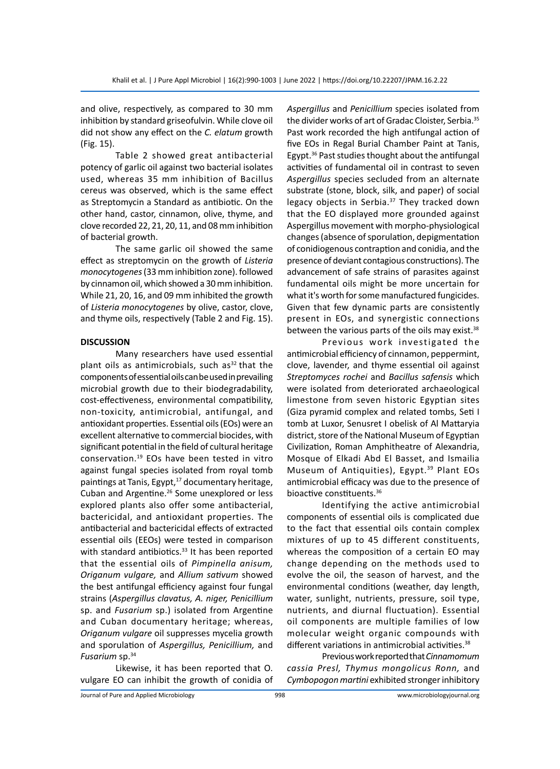and olive, respectively, as compared to 30 mm inhibition by standard griseofulvin. While clove oil did not show any effect on the *C. elatum* growth (Fig. 15).

Table 2 showed great antibacterial potency of garlic oil against two bacterial isolates used, whereas 35 mm inhibition of Bacillus cereus was observed, which is the same effect as Streptomycin a Standard as antibiotic. On the other hand, castor, cinnamon, olive, thyme, and clove recorded 22, 21, 20, 11, and 08 mm inhibition of bacterial growth.

The same garlic oil showed the same effect as streptomycin on the growth of *Listeria monocytogenes* (33 mm inhibition zone). followed by cinnamon oil, which showed a 30 mm inhibition. While 21, 20, 16, and 09 mm inhibited the growth of *Listeria monocytogenes* by olive, castor, clove, and thyme oils, respectively (Table 2 and Fig. 15).

#### **DISCUSSION**

Many researchers have used essential plant oils as antimicrobials, such as $32$  that the components of essential oils can be used in prevailing microbial growth due to their biodegradability, cost-effectiveness, environmental compatibility, non-toxicity, antimicrobial, antifungal, and antioxidant properties. Essential oils (EOs) were an excellent alternative to commercial biocides, with significant potential in the field of cultural heritage conservation.<sup>19</sup> EOs have been tested in vitro against fungal species isolated from royal tomb paintings at Tanis, Egypt,<sup>17</sup> documentary heritage, Cuban and Argentine.<sup>26</sup> Some unexplored or less explored plants also offer some antibacterial, bactericidal, and antioxidant properties. The antibacterial and bactericidal effects of extracted essential oils (EEOs) were tested in comparison with standard antibiotics.<sup>33</sup> It has been reported that the essential oils of *Pimpinella anisum, Origanum vulgare,* and *Allium sativum* showed the best antifungal efficiency against four fungal strains (*Aspergillus clavatus, A. niger, Penicillium* sp. and *Fusarium* sp.) isolated from Argentine and Cuban documentary heritage; whereas, *Origanum vulgare* oil suppresses mycelia growth and sporulation of *Aspergillus, Penicillium,* and *Fusarium* sp.34

Likewise, it has been reported that O. vulgare EO can inhibit the growth of conidia of *Aspergillus* and *Penicillium* species isolated from the divider works of art of Gradac Cloister, Serbia.35 Past work recorded the high antifungal action of five EOs in Regal Burial Chamber Paint at Tanis, Egypt.36 Past studies thought about the antifungal activities of fundamental oil in contrast to seven *Aspergillus* species secluded from an alternate substrate (stone, block, silk, and paper) of social legacy objects in Serbia.<sup>37</sup> They tracked down that the EO displayed more grounded against Aspergillus movement with morpho-physiological changes (absence of sporulation, depigmentation of conidiogenous contraption and conidia, and the presence of deviant contagious constructions). The advancement of safe strains of parasites against fundamental oils might be more uncertain for what it's worth for some manufactured fungicides. Given that few dynamic parts are consistently present in EOs, and synergistic connections between the various parts of the oils may exist.<sup>38</sup>

Previous work investigated the antimicrobial efficiency of cinnamon, peppermint, clove, lavender, and thyme essential oil against *Streptomyces rochei* and *Bacillus safensis* which were isolated from deteriorated archaeological limestone from seven historic Egyptian sites (Giza pyramid complex and related tombs, Seti I tomb at Luxor, Senusret I obelisk of Al Mattaryia district, store of the National Museum of Egyptian Civilization, Roman Amphitheatre of Alexandria, Mosque of Elkadi Abd El Basset, and Ismailia Museum of Antiquities), Egypt.<sup>39</sup> Plant EOs antimicrobial efficacy was due to the presence of bioactive constituents.36

Identifying the active antimicrobial components of essential oils is complicated due to the fact that essential oils contain complex mixtures of up to 45 different constituents, whereas the composition of a certain EO may change depending on the methods used to evolve the oil, the season of harvest, and the environmental conditions (weather, day length, water, sunlight, nutrients, pressure, soil type, nutrients, and diurnal fluctuation). Essential oil components are multiple families of low molecular weight organic compounds with different variations in antimicrobial activities.<sup>38</sup>

Previous work reported that *Cinnamomum cassia Presl, Thymus mongolicus Ronn,* and *Cymbopogon martini* exhibited stronger inhibitory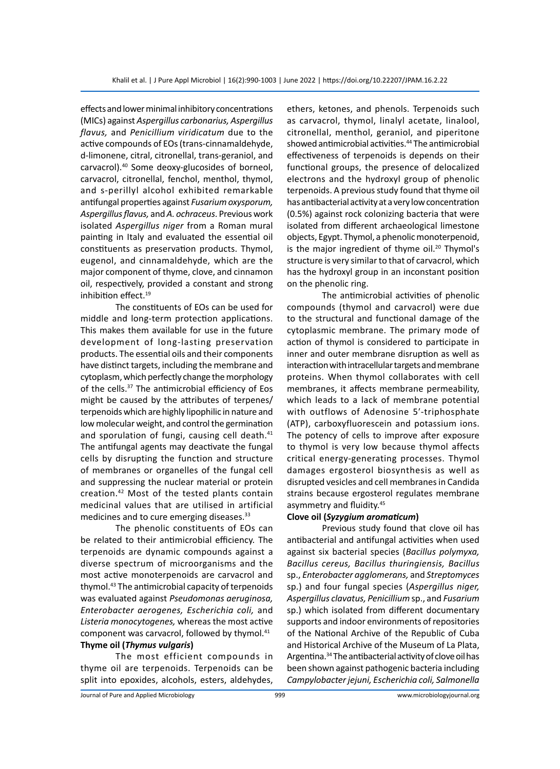effects and lower minimal inhibitory concentrations (MICs) against *Aspergillus carbonarius, Aspergillus flavus,* and *Penicillium viridicatum* due to the active compounds of EOs (trans-cinnamaldehyde, d-limonene, citral, citronellal, trans-geraniol, and carvacrol).40 Some deoxy-glucosides of borneol, carvacrol, citronellal, fenchol, menthol, thymol, and s-perillyl alcohol exhibited remarkable antifungal properties against *Fusarium oxysporum, Aspergillus flavus,* and *A. ochraceus*. Previous work isolated *Aspergillus niger* from a Roman mural painting in Italy and evaluated the essential oil constituents as preservation products. Thymol, eugenol, and cinnamaldehyde, which are the major component of thyme, clove, and cinnamon oil, respectively, provided a constant and strong inhibition effect.<sup>19</sup>

The constituents of EOs can be used for middle and long-term protection applications. This makes them available for use in the future development of long-lasting preservation products. The essential oils and their components have distinct targets, including the membrane and cytoplasm, which perfectly change the morphology of the cells.<sup>37</sup> The antimicrobial efficiency of Eos might be caused by the attributes of terpenes/ terpenoids which are highly lipophilic in nature and low molecular weight, and control the germination and sporulation of fungi, causing cell death.<sup>41</sup> The antifungal agents may deactivate the fungal cells by disrupting the function and structure of membranes or organelles of the fungal cell and suppressing the nuclear material or protein creation.42 Most of the tested plants contain medicinal values that are utilised in artificial medicines and to cure emerging diseases.<sup>33</sup>

The phenolic constituents of EOs can be related to their antimicrobial efficiency. The terpenoids are dynamic compounds against a diverse spectrum of microorganisms and the most active monoterpenoids are carvacrol and thymol.43 The antimicrobial capacity of terpenoids was evaluated against *Pseudomonas aeruginosa, Enterobacter aerogenes, Escherichia coli,* and *Listeria monocytogenes,* whereas the most active component was carvacrol, followed by thymol.<sup>41</sup> **Thyme oil (***Thymus vulgaris***)**

The most efficient compounds in thyme oil are terpenoids. Terpenoids can be split into epoxides, alcohols, esters, aldehydes, ethers, ketones, and phenols. Terpenoids such as carvacrol, thymol, linalyl acetate, linalool, citronellal, menthol, geraniol, and piperitone showed antimicrobial activities.<sup>44</sup> The antimicrobial effectiveness of terpenoids is depends on their functional groups, the presence of delocalized electrons and the hydroxyl group of phenolic terpenoids. A previous study found that thyme oil has antibacterial activity at a very low concentration (0.5%) against rock colonizing bacteria that were isolated from different archaeological limestone objects, Egypt. Thymol, a phenolic monoterpenoid, is the major ingredient of thyme oil.<sup>20</sup> Thymol's structure is very similar to that of carvacrol, which has the hydroxyl group in an inconstant position on the phenolic ring.

The antimicrobial activities of phenolic compounds (thymol and carvacrol) were due to the structural and functional damage of the cytoplasmic membrane. The primary mode of action of thymol is considered to participate in inner and outer membrane disruption as well as interaction with intracellular targets and membrane proteins. When thymol collaborates with cell membranes, it affects membrane permeability, which leads to a lack of membrane potential with outflows of Adenosine 5′-triphosphate (ATP), carboxyfluorescein and potassium ions. The potency of cells to improve after exposure to thymol is very low because thymol affects critical energy-generating processes. Thymol damages ergosterol biosynthesis as well as disrupted vesicles and cell membranes in Candida strains because ergosterol regulates membrane asymmetry and fluidity.45

#### **Clove oil (***Syzygium aromaticum***)**

Previous study found that clove oil has antibacterial and antifungal activities when used against six bacterial species (*Bacillus polymyxa, Bacillus cereus, Bacillus thuringiensis, Bacillus*  sp., *Enterobacter agglomerans,* and *Streptomyces*  sp.) and four fungal species (*Aspergillus niger, Aspergillus clavatus, Penicillium* sp., and *Fusarium*  sp.) which isolated from different documentary supports and indoor environments of repositories of the National Archive of the Republic of Cuba and Historical Archive of the Museum of La Plata, Argentina.34 The antibacterial activity of clove oil has been shown against pathogenic bacteria including *Campylobacter jejuni, Escherichia coli, Salmonella*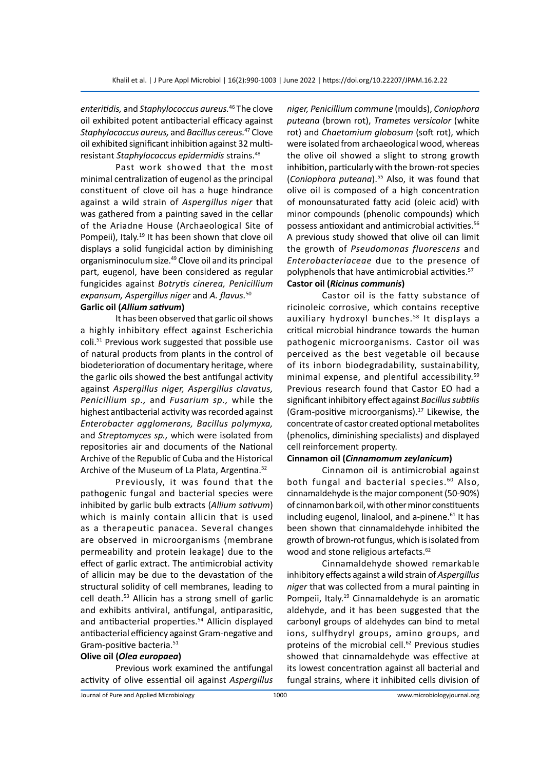*enteritidis,* and *Staphylococcus aureus.*<sup>46</sup> The clove oil exhibited potent antibacterial efficacy against *Staphylococcus aureus,* and *Bacillus cereus.*<sup>47</sup> Clove oil exhibited significant inhibition against 32 multiresistant *Staphylococcus epidermidis* strains.48

Past work showed that the most minimal centralization of eugenol as the principal constituent of clove oil has a huge hindrance against a wild strain of *Aspergillus niger* that was gathered from a painting saved in the cellar of the Ariadne House (Archaeological Site of Pompeii), Italy.<sup>19</sup> It has been shown that clove oil displays a solid fungicidal action by diminishing organisminoculum size.<sup>49</sup> Clove oil and its principal part, eugenol, have been considered as regular fungicides against *Botrytis cinerea, Penicillium expansum, Aspergillus niger* and *A. flavus.*<sup>50</sup>

#### **Garlic oil (***Allium sativum***)**

It has been observed that garlic oil shows a highly inhibitory effect against Escherichia coli.51 Previous work suggested that possible use of natural products from plants in the control of biodeterioration of documentary heritage, where the garlic oils showed the best antifungal activity against *Aspergillus niger, Aspergillus clavatus, Penicillium sp.,* and *Fusarium sp.,* while the highest antibacterial activity was recorded against *Enterobacter agglomerans, Bacillus polymyxa,*  and *Streptomyces sp.,* which were isolated from repositories air and documents of the National Archive of the Republic of Cuba and the Historical Archive of the Museum of La Plata, Argentina.<sup>52</sup>

Previously, it was found that the pathogenic fungal and bacterial species were inhibited by garlic bulb extracts (*Allium sativum*) which is mainly contain allicin that is used as a therapeutic panacea. Several changes are observed in microorganisms (membrane permeability and protein leakage) due to the effect of garlic extract. The antimicrobial activity of allicin may be due to the devastation of the structural solidity of cell membranes, leading to cell death.53 Allicin has a strong smell of garlic and exhibits antiviral, antifungal, antiparasitic, and antibacterial properties.<sup>54</sup> Allicin displayed antibacterial efficiency against Gram-negative and Gram-positive bacteria.51

#### **Olive oil (***Olea europaea***)**

Previous work examined the antifungal activity of olive essential oil against *Aspergillus*  *niger, Penicillium commune* (moulds), *Coniophora puteana* (brown rot), *Trametes versicolor* (white rot) and *Chaetomium globosum* (soft rot), which were isolated from archaeological wood, whereas the olive oil showed a slight to strong growth inhibition, particularly with the brown-rot species (*Coniophora puteana*).55 Also, it was found that olive oil is composed of a high concentration of monounsaturated fatty acid (oleic acid) with minor compounds (phenolic compounds) which possess antioxidant and antimicrobial activities.56 A previous study showed that olive oil can limit the growth of *Pseudomonas fluorescens* and *Enterobacteriaceae* due to the presence of polyphenols that have antimicrobial activities.<sup>57</sup> **Castor oil (***Ricinus communis***)**

Castor oil is the fatty substance of ricinoleic corrosive, which contains receptive auxiliary hydroxyl bunches.<sup>58</sup> It displays a critical microbial hindrance towards the human pathogenic microorganisms. Castor oil was perceived as the best vegetable oil because of its inborn biodegradability, sustainability, minimal expense, and plentiful accessibility.59 Previous research found that Castor EO had a significant inhibitory effect against *Bacillus subtilis*  (Gram-positive microorganisms).<sup>17</sup> Likewise, the concentrate of castor created optional metabolites (phenolics, diminishing specialists) and displayed cell reinforcement property.

#### **Cinnamon oil (***Cinnamomum zeylanicum***)**

Cinnamon oil is antimicrobial against both fungal and bacterial species.<sup>60</sup> Also, cinnamaldehyde is the major component (50-90%) of cinnamon bark oil, with other minor constituents including eugenol, linalool, and a-pinene.<sup>61</sup> It has been shown that cinnamaldehyde inhibited the growth of brown-rot fungus, which is isolated from wood and stone religious artefacts.<sup>62</sup>

Cinnamaldehyde showed remarkable inhibitory effects against a wild strain of *Aspergillus niger* that was collected from a mural painting in Pompeii, Italy.<sup>19</sup> Cinnamaldehyde is an aromatic aldehyde, and it has been suggested that the carbonyl groups of aldehydes can bind to metal ions, sulfhydryl groups, amino groups, and proteins of the microbial cell.<sup>62</sup> Previous studies showed that cinnamaldehyde was effective at its lowest concentration against all bacterial and fungal strains, where it inhibited cells division of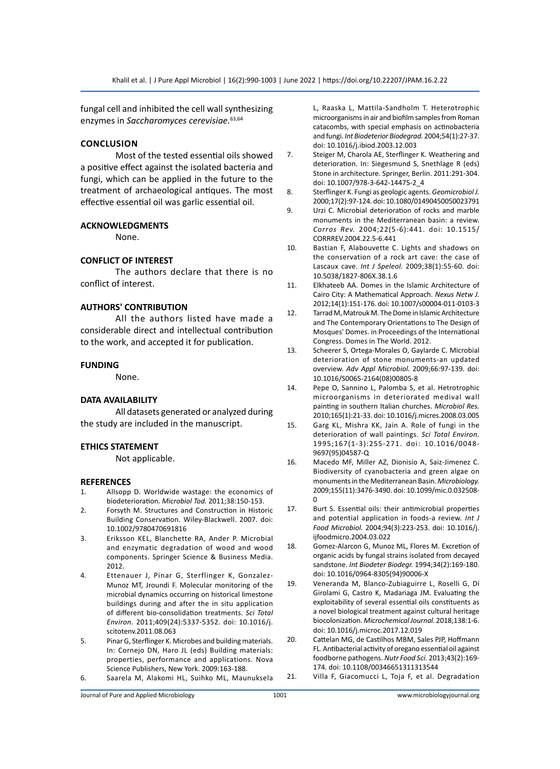fungal cell and inhibited the cell wall synthesizing enzymes in *Saccharomyces cerevisiae.*63,64

#### **Conclusion**

Most of the tested essential oils showed a positive effect against the isolated bacteria and fungi, which can be applied in the future to the treatment of archaeological antiques. The most effective essential oil was garlic essential oil.

#### **ACKNOWLEDGMENTS**

None.

#### **CONFLICT OF INTEREST**

The authors declare that there is no conflict of interest.

#### **AUTHORS' CONTRIBUTION**

All the authors listed have made a considerable direct and intellectual contribution to the work, and accepted it for publication.

#### **FUNDING**

None.

#### **DATA AVAILABILITY**

All datasets generated or analyzed during the study are included in the manuscript.

#### **ETHICS STATEMENT**

Not applicable.

#### **REFERENCES**

- 1. Allsopp D. Worldwide wastage: the economics of biodeterioration. *Microbiol Tod.* 2011;38:150-153.
- 2. Forsyth M. Structures and Construction in Historic Building Conservation. Wiley-Blackwell. 2007. doi: 10.1002/9780470691816
- 3. Eriksson KEL, Blanchette RA, Ander P. Microbial and enzymatic degradation of wood and wood components. Springer Science & Business Media. 2012.
- 4. Ettenauer J, Pinar G, Sterflinger K, Gonzalez-Munoz MT, Jroundi F. Molecular monitoring of the microbial dynamics occurring on historical limestone buildings during and after the in situ application of different bio-consolidation treatments. *Sci Total Environ.* 2011;409(24):5337-5352. doi: 10.1016/j. scitotenv.2011.08.063
- 5. Pinar G, Sterflinger K. Microbes and building materials. In: Cornejo DN, Haro JL (eds) Building materials: properties, performance and applications. Nova Science Publishers, New York. 2009:163-188.
- 6. Saarela M, Alakomi HL, Suihko ML, Maunuksela

L, Raaska L, Mattila-Sandholm T. Heterotrophic microorganisms in air and biofilm samples from Roman catacombs, with special emphasis on actinobacteria and fungi. *Int Biodeterior Biodegrad.* 2004;54(1):27-37. doi: 10.1016/j.ibiod.2003.12.003

- 7. Steiger M, Charola AE, Sterflinger K. Weathering and deterioration. In: Siegesmund S, Snethlage R (eds) Stone in architecture. Springer, Berlin. 2011:291-304. doi: 10.1007/978-3-642-14475-2\_4
- 8. Sterflinger K. Fungi as geologic agents. *Geomicrobiol J.* 2000;17(2):97-124. doi: 10.1080/01490450050023791
- 9. Urzi C. Microbial deterioration of rocks and marble monuments in the Mediterranean basin: a review. *Corros Rev.* 2004;22(5-6):441. doi: 10.1515/ CORRREV.2004.22.5-6.441
- 10. Bastian F, Alabouvette C. Lights and shadows on the conservation of a rock art cave: the case of Lascaux cave. *Int J Speleol.* 2009;38(1):55-60. doi: 10.5038/1827-806X.38.1.6
- 11. Elkhateeb AA. Domes in the Islamic Architecture of Cairo City: A Mathematical Approach. *Nexus Netw J.* 2012;14(1):151-176. doi: 10.1007/s00004-011-0103-3
- 12. Tarrad M, Matrouk M. The Dome in Islamic Architecture and The Contemporary Orientations to The Design of Mosques' Domes. in Proceedings of the International Congress. Domes in The World. 2012.
- 13. Scheerer S, Ortega-Morales O, Gaylarde C. Microbial deterioration of stone monuments-an updated overview. *Adv Appl Microbiol.* 2009;66:97-139. doi: 10.1016/S0065-2164(08)00805-8
- 14. Pepe O, Sannino L, Palomba S, et al. Hetrotrophic microorganisms in deteriorated medival wall painting in southern Italian churches. *Microbiol Res.* 2010;165(1):21-33. doi: 10.1016/j.micres.2008.03.005
- 15. Garg KL, Mishra KK, Jain A. Role of fungi in the deterioration of wall paintings. *Sci Total Environ.* 1995;167(1-3):255-271. doi: 10.1016/0048- 9697(95)04587-Q
- 16. Macedo MF, Miller AZ, Dionisio A, Saiz-Jimenez C. Biodiversity of cyanobacteria and green algae on monuments in the Mediterranean Basin. *Microbiology.* 2009;155(11):3476-3490. doi: 10.1099/mic.0.032508- 0
- 17. Burt S. Essential oils: their antimicrobial properties and potential application in foods-a review. *Int J Food Microbiol.* 2004;94(3):223-253. doi: 10.1016/j. iifoodmicro.2004.03.022
- 18. Gomez-Alarcon G, Munoz ML, Flores M. Excretion of organic acids by fungal strains isolated from decayed sandstone. *Int Biodeter Biodegr.* 1994;34(2):169-180. doi: 10.1016/0964-8305(94)90006-X
- 19. Veneranda M, Blanco-Zubiaguirre L, Roselli G, Di Girolami G, Castro K, Madariaga JM. Evaluating the exploitability of several essential oils constituents as a novel biological treatment against cultural heritage biocolonization. *Microchemical Journal.* 2018;138:1-6. doi: 10.1016/j.microc.2017.12.019
- 20. Cattelan MG, de Castilhos MBM, Sales PJP, Hoffmann FL. Antibacterial activity of oregano essential oil against foodborne pathogens. *Nutr Food Sci.* 2013;43(2):169- 174. doi: 10.1108/00346651311313544
- 21. Villa F, Giacomucci L, Toja F, et al. Degradation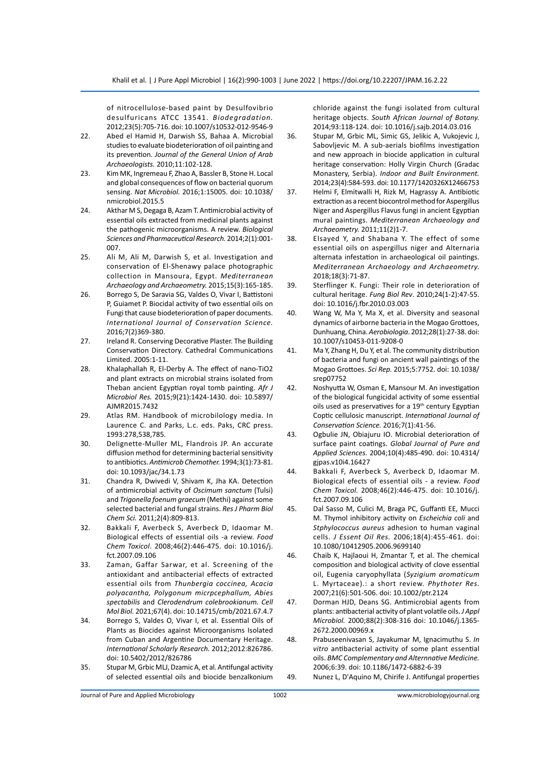of nitrocellulose-based paint by Desulfovibrio desulfuricans ATCC 13541. *Biodegradation.* 2012;23(5):705-716. doi: 10.1007/s10532-012-9546-9

- 22. Abed el Hamid H, Darwish SS, Bahaa A. Microbial studies to evaluate biodeterioration of oil painting and its prevention. *Journal of the General Union of Arab Archaeologists.* 2010;11:102-128.
- 23. Kim MK, Ingremeau F, Zhao A, Bassler B, Stone H. Local and global consequences of flow on bacterial quorum sensing. *Nat Microbiol.* 2016;1:15005. doi: 10.1038/ nmicrobiol.2015.5
- 24. Akthar M S, Degaga B, Azam T. Antimicrobial activity of essential oils extracted from medicinal plants against the pathogenic microorganisms. A review. *Biological Sciences and Pharmaceutical Research.* 2014;2(1):001- 007.
- 25. Ali M, Ali M, Darwish S, et al. Investigation and conservation of El-Shenawy palace photographic collection in Mansoura, Egypt. *Mediterranean Archaeology and Archaeometry.* 2015;15(3):165-185.
- 26. Borrego S, De Saravia SG, Valdes O, Vivar I, Battistoni P, Guiamet P. Biocidal activity of two essential oils on Fungi that cause biodeterioration of paper documents. *International Journal of Conservation Science.* 2016;7(2)369-380.
- 27. Ireland R. Conserving Decorative Plaster. The Building Conservation Directory. Cathedral Communications Limited. 2005:1-11.
- 28. Khalaphallah R, El-Derby A. The effect of nano-TiO2 and plant extracts on microbial strains isolated from Theban ancient Egyptian royal tomb painting. *Afr J Microbiol Res.* 2015;9(21):1424-1430. doi: 10.5897/ AJMR2015.7432
- 29. Atlas RM. Handbook of microbilology media. In Laurence C. and Parks, L.c. eds. Paks, CRC press. 1993:278,538,785.
- 30. Delignette-Muller ML, Flandrois JP. An accurate diffusion method for determining bacterial sensitivity to antibiotics. *Antimicrob Chemother.* 1994;3(1):73-81. doi: 10.1093/jac/34.1.73
- 31. Chandra R, Dwivedi V, Shivam K, Jha KA. Detection of antimicrobial activity of *Oscimum sanctum* (Tulsi) and *Trigonella foenum graecum* (Methi) against some selected bacterial and fungal strains. *Res J Pharm Biol Chem Sci.* 2011;2(4):809-813.
- 32. Bakkali F, Averbeck S, Averbeck D, Idaomar M. Biological effects of essential oils -a review. *Food Chem Toxicol*. 2008;46(2):446-475. doi: 10.1016/j. fct.2007.09.106
- 33. Zaman, Gaffar Sarwar, et al. Screening of the antioxidant and antibacterial effects of extracted essential oils from *Thunbergia coccinea, Acacia polyacantha, Polygonum micrpcephallum, Abies spectabilis* and *Clerodendrum colebrookianum. Cell Mol Biol.* 2021;67(4). doi: 10.14715/cmb/2021.67.4.7
- 34. Borrego S, Valdes O, Vivar I, et al. Essential Oils of Plants as Biocides against Microorganisms Isolated from Cuban and Argentine Documentary Heritage. *International Scholarly Research.* 2012;2012:826786. doi: 10.5402/2012/826786
- 35. Stupar M, Grbic MLJ, Dzamic A, et al. Antifungal activity of selected essential oils and biocide benzalkonium

chloride against the fungi isolated from cultural heritage objects. *South African Journal of Botany.* 2014;93:118-124. doi: 10.1016/j.sajb.2014.03.016

- 36. Stupar M, Grbic ML, Simic GS, Jelikic A, Vukojevic J, Sabovljevic M. A sub-aerials biofilms investigation and new approach in biocide application in cultural heritage conservation: Holly Virgin Church (Gradac Monastery, Serbia). *Indoor and Built Environment.* 2014;23(4):584-593. doi: 10.1177/1420326X12466753
- 37. Helmi F, Elmitwalli H, Rizk M, Hagrassy A. Antibiotic extraction as a recent biocontrol method for Aspergillus Niger and Aspergillus Flavus fungi in ancient Egyptian mural paintings. *Mediterranean Archaeology and Archaeometry.* 2011;11(2)1-7.
- 38. Elsayed Y, and Shabana Y. The effect of some essential oils on aspergillus niger and Alternaria alternata infestation in archaeological oil paintings. *Mediterranean Archaeology and Archaeometry.* 2018;18(3):71-87.
- 39. Sterflinger K. Fungi: Their role in deterioration of cultural heritage. *Fung Biol Rev*. 2010;24(1-2):47-55. doi: 10.1016/j.fbr.2010.03.003
- 40. Wang W, Ma Y, Ma X, et al. Diversity and seasonal dynamics of airborne bacteria in the Mogao Grottoes, Dunhuang, China. *Aerobiologia*. 2012;28(1):27-38. doi: 10.1007/s10453-011-9208-0
- 41. Ma Y, Zhang H, Du Y, et al. The community distribution of bacteria and fungi on ancient wall paintings of the Mogao Grottoes. *Sci Rep.* 2015;5:7752. doi: 10.1038/ srep07752
- 42. Noshyutta W, Osman E, Mansour M. An investigation of the biological fungicidal activity of some essential oils used as preservatives for a 19th century Egyptian Coptic cellulosic manuscript. *International Journal of Conservation Science.* 2016;7(1):41-56.
- 43. Ogbulie JN, Obiajuru IO. Microbial deterioration of surface paint coatings. *Global Journal of Pure and Applied Sciences.* 2004;10(4):485-490. doi: 10.4314/ gjpas.v10i4.16427
- 44. Bakkali F, Averbeck S, Averbeck D, Idaomar M. Biological efects of essential oils - a review. *Food Chem Toxicol.* 2008;46(2):446-475. doi: 10.1016/j. fct.2007.09.106
- 45. Dal Sasso M, Culici M, Braga PC, Guffanti EE, Mucci M. Thymol inhibitory activity on *Escheichia coli* and *Stphylococcus aureus* adhesion to human vaginal cells. *J Essent Oil Res.* 2006;18(4):455-461. doi: 10.1080/10412905.2006.9699140
- 46. Chaib K, Hajlaoui H, Zmantar T, et al. The chemical composition and biological activity of clove essential oil, Eugenia caryophyllata (*Syzigium aromaticum*  L. Myrtaceae).: a short review. *Phythoter Res.* 2007;21(6):501-506. doi: 10.1002/ptr.2124
- 47. Dorman HJD, Deans SG. Antimicrobial agents from plants: antibacterial activity of plant volatile oils. *J Appl Microbiol.* 2000;88(2):308-316 doi: 10.1046/j.1365- 2672.2000.00969.x
- 48. Prabuseenivasan S, Jayakumar M, Ignacimuthu S. *In vitro* antibacterial activity of some plant essential oils. *BMC Complementary and Alternnative Medicine.* 2006;6:39. doi: 10.1186/1472-6882-6-39
- 49. Nunez L, D'Aquino M, Chirife J. Antifungal properties